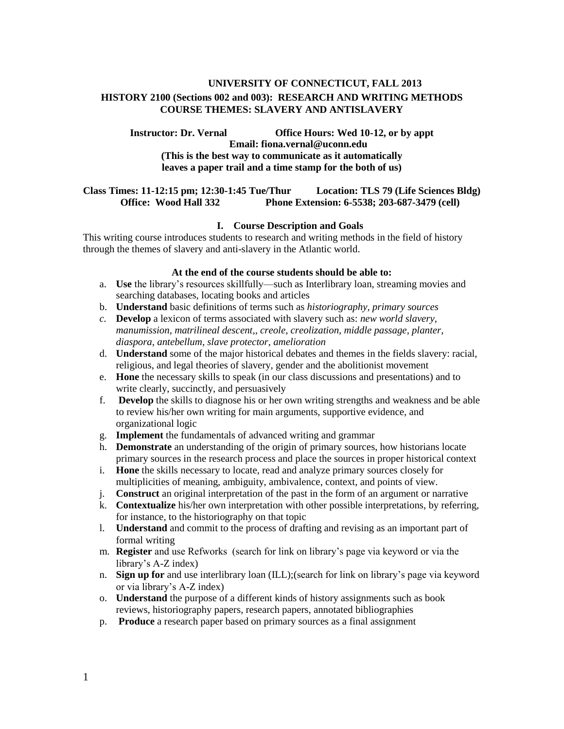# **UNIVERSITY OF CONNECTICUT, FALL 2013 HISTORY 2100 (Sections 002 and 003): RESEARCH AND WRITING METHODS COURSE THEMES: SLAVERY AND ANTISLAVERY**

**Instructor: Dr. Vernal Office Hours: Wed 10-12, or by appt Email: fiona.vernal@uconn.edu (This is the best way to communicate as it automatically leaves a paper trail and a time stamp for the both of us)**

#### **Class Times: 11-12:15 pm; 12:30-1:45 Tue/Thur Location: TLS 79 (Life Sciences Bldg) Office: Wood Hall 332 Phone Extension: 6-5538; 203-687-3479 (cell)**

## **I. Course Description and Goals**

This writing course introduces students to research and writing methods in the field of history through the themes of slavery and anti-slavery in the Atlantic world.

#### **At the end of the course students should be able to:**

- a. **Use** the library's resources skillfully—such as Interlibrary loan, streaming movies and searching databases, locating books and articles
- b. **Understand** basic definitions of terms such as *historiography, primary sources*
- *c.* **Develop** a lexicon of terms associated with slavery such as: *new world slavery, manumission, matrilineal descent,, creole, creolization, middle passage, planter*, *diaspora, antebellum, slave protector, amelioration*
- d. **Understand** some of the major historical debates and themes in the fields slavery: racial, religious, and legal theories of slavery, gender and the abolitionist movement
- e. **Hone** the necessary skills to speak (in our class discussions and presentations) and to write clearly, succinctly, and persuasively
- f. **Develop** the skills to diagnose his or her own writing strengths and weakness and be able to review his/her own writing for main arguments, supportive evidence, and organizational logic
- g. **Implement** the fundamentals of advanced writing and grammar
- h. **Demonstrate** an understanding of the origin of primary sources, how historians locate primary sources in the research process and place the sources in proper historical context
- i. **Hone** the skills necessary to locate, read and analyze primary sources closely for multiplicities of meaning, ambiguity, ambivalence, context, and points of view.
- j. **Construct** an original interpretation of the past in the form of an argument or narrative
- k. **Contextualize** his/her own interpretation with other possible interpretations, by referring, for instance, to the historiography on that topic
- l. **Understand** and commit to the process of drafting and revising as an important part of formal writing
- m. **Register** and use Refworks (search for link on library's page via keyword or via the library's A-Z index)
- n. **Sign up for** and use interlibrary loan (ILL);(search for link on library's page via keyword or via library's A-Z index)
- o. **Understand** the purpose of a different kinds of history assignments such as book reviews, historiography papers, research papers, annotated bibliographies
- p. **Produce** a research paper based on primary sources as a final assignment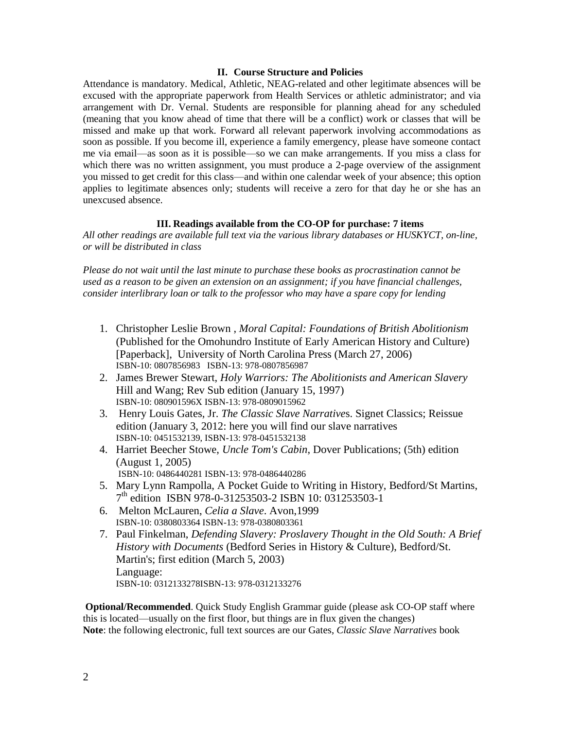#### **II. Course Structure and Policies**

Attendance is mandatory. Medical, Athletic, NEAG-related and other legitimate absences will be excused with the appropriate paperwork from Health Services or athletic administrator; and via arrangement with Dr. Vernal. Students are responsible for planning ahead for any scheduled (meaning that you know ahead of time that there will be a conflict) work or classes that will be missed and make up that work. Forward all relevant paperwork involving accommodations as soon as possible. If you become ill, experience a family emergency, please have someone contact me via email—as soon as it is possible—so we can make arrangements. If you miss a class for which there was no written assignment, you must produce a 2-page overview of the assignment you missed to get credit for this class—and within one calendar week of your absence; this option applies to legitimate absences only; students will receive a zero for that day he or she has an unexcused absence.

#### **III. Readings available from the CO-OP for purchase: 7 items**

*All other readings are available full text via the various library databases or HUSKYCT, on-line, or will be distributed in class*

*Please do not wait until the last minute to purchase these books as procrastination cannot be used as a reason to be given an extension on an assignment; if you have financial challenges, consider interlibrary loan or talk to the professor who may have a spare copy for lending*

- 1. Christopher Leslie Brown , *Moral Capital: Foundations of British Abolitionism* (Published for the Omohundro Institute of Early American History and Culture) [Paperback], University of North Carolina Press (March 27, 2006) ISBN-10: 0807856983 ISBN-13: 978-0807856987
- 2. James Brewer Stewart, *Holy Warriors: The Abolitionists and American Slavery* Hill and Wang; Rev Sub edition (January 15, 1997) ISBN-10: 080901596X ISBN-13: 978-0809015962
- 3. Henry Louis Gates, Jr. *The Classic Slave Narrative*s. Signet Classics; Reissue edition (January 3, 2012: here you will find our slave narratives ISBN-10: 0451532139, ISBN-13: 978-0451532138
- 4. Harriet Beecher Stowe, *Uncle Tom's Cabin*, Dover Publications; (5th) edition (August 1, 2005)
	- ISBN-10: 0486440281 ISBN-13: 978-0486440286
- 5. Mary Lynn Rampolla, A Pocket Guide to Writing in History, Bedford/St Martins, 7 th edition ISBN 978-0-31253503-2 ISBN 10: 031253503-1
- 6. Melton McLauren, *Celia a Slave*. Avon,1999 ISBN-10: 0380803364 ISBN-13: 978-0380803361
- 7. Paul Finkelman, *Defending Slavery: Proslavery Thought in the Old South: A Brief History with Documents* (Bedford Series in History & Culture), Bedford/St. Martin's; first edition (March 5, 2003) Language: ISBN-10: 0312133278ISBN-13: 978-0312133276

**Optional/Recommended**. Quick Study English Grammar guide (please ask CO-OP staff where this is located—usually on the first floor, but things are in flux given the changes) **Note**: the following electronic, full text sources are our Gates, *Classic Slave Narratives* book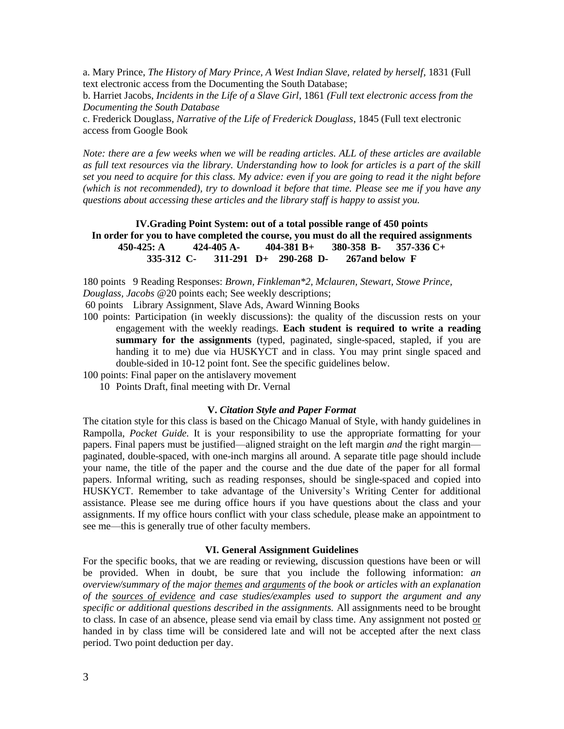a. Mary Prince, *The History of Mary Prince, A West Indian Slave, related by herself*, 1831 (Full text electronic access from the Documenting the South Database;

b. Harriet Jacobs, *Incidents in the Life of a Slave Girl*, 1861 *(Full text electronic access from the Documenting the South Database*

c. Frederick Douglass, *Narrative of the Life of Frederick Douglass*, 1845 (Full text electronic access from Google Book

*Note: there are a few weeks when we will be reading articles. ALL of these articles are available as full text resources via the library. Understanding how to look for articles is a part of the skill set you need to acquire for this class. My advice: even if you are going to read it the night before (which is not recommended), try to download it before that time. Please see me if you have any questions about accessing these articles and the library staff is happy to assist you.*

**IV.Grading Point System: out of a total possible range of 450 points In order for you to have completed the course, you must do all the required assignments 450-425: A 424-405 A- 404-381 B+ 380-358 B- 357-336 C+ 335-312 C- 311-291 D+ 290-268 D- 267and below F** 

180 points 9 Reading Responses: *Brown, Finkleman\*2, Mclauren, Stewart, Stowe Prince, Douglass, Jacobs* @20 points each; See weekly descriptions;

60 points Library Assignment, Slave Ads, Award Winning Books

- 100 points: Participation (in weekly discussions): the quality of the discussion rests on your engagement with the weekly readings. **Each student is required to write a reading summary for the assignments** (typed, paginated, single-spaced, stapled, if you are handing it to me) due via HUSKYCT and in class. You may print single spaced and double-sided in 10-12 point font. See the specific guidelines below.
- 100 points: Final paper on the antislavery movement
	- 10 Points Draft, final meeting with Dr. Vernal

#### **V.** *Citation Style and Paper Format*

The citation style for this class is based on the Chicago Manual of Style, with handy guidelines in Rampolla, *Pocket Guide.* It is your responsibility to use the appropriate formatting for your papers. Final papers must be justified—aligned straight on the left margin *and* the right margin paginated, double-spaced, with one-inch margins all around. A separate title page should include your name, the title of the paper and the course and the due date of the paper for all formal papers. Informal writing, such as reading responses, should be single-spaced and copied into HUSKYCT. Remember to take advantage of the University's Writing Center for additional assistance. Please see me during office hours if you have questions about the class and your assignments. If my office hours conflict with your class schedule, please make an appointment to see me—this is generally true of other faculty members.

#### **VI. General Assignment Guidelines**

For the specific books, that we are reading or reviewing, discussion questions have been or will be provided. When in doubt, be sure that you include the following information: *an overview/summary of the major themes and arguments of the book or articles with an explanation of the sources of evidence and case studies/examples used to support the argument and any specific or additional questions described in the assignments.* All assignments need to be brought to class. In case of an absence, please send via email by class time. Any assignment not posted or handed in by class time will be considered late and will not be accepted after the next class period. Two point deduction per day.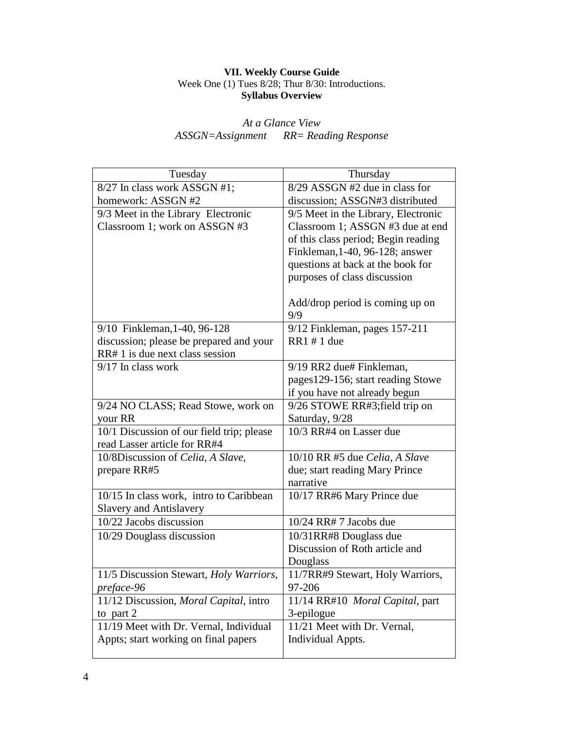#### **VII. Weekly Course Guide** Week One (1) Tues 8/28; Thur 8/30: Introductions. **Syllabus Overview**

# *At a Glance View ASSGN=Assignment RR= Reading Response*

| Tuesday                                   | Thursday                            |
|-------------------------------------------|-------------------------------------|
| 8/27 In class work ASSGN #1;              | $8/29$ ASSGN #2 due in class for    |
| homework: ASSGN #2                        | discussion; ASSGN#3 distributed     |
| 9/3 Meet in the Library Electronic        | 9/5 Meet in the Library, Electronic |
| Classroom 1; work on ASSGN #3             | Classroom 1; ASSGN #3 due at end    |
|                                           | of this class period; Begin reading |
|                                           | Finkleman, 1-40, 96-128; answer     |
|                                           | questions at back at the book for   |
|                                           | purposes of class discussion        |
|                                           |                                     |
|                                           | Add/drop period is coming up on     |
|                                           | 9/9                                 |
| 9/10 Finkleman, 1-40, 96-128              | $9/12$ Finkleman, pages 157-211     |
| discussion; please be prepared and your   | RR1 # 1 due                         |
| RR# 1 is due next class session           |                                     |
| $9/17$ In class work                      | 9/19 RR2 due# Finkleman,            |
|                                           | pages129-156; start reading Stowe   |
|                                           | if you have not already begun       |
| 9/24 NO CLASS; Read Stowe, work on        | 9/26 STOWE RR#3; field trip on      |
| your RR                                   | Saturday, 9/28                      |
| 10/1 Discussion of our field trip; please | 10/3 RR#4 on Lasser due             |
| read Lasser article for RR#4              |                                     |
| 10/8Discussion of Celia, A Slave,         | 10/10 RR #5 due Celia, A Slave      |
| prepare RR#5                              | due; start reading Mary Prince      |
|                                           | narrative                           |
| 10/15 In class work, intro to Caribbean   | 10/17 RR#6 Mary Prince due          |
| <b>Slavery and Antislavery</b>            |                                     |
| 10/22 Jacobs discussion                   | 10/24 RR# 7 Jacobs due              |
| 10/29 Douglass discussion                 | 10/31RR#8 Douglass due              |
|                                           | Discussion of Roth article and      |
|                                           | Douglass                            |
| 11/5 Discussion Stewart, Holy Warriors,   | 11/7RR#9 Stewart, Holy Warriors,    |
| preface-96                                | 97-206                              |
| 11/12 Discussion, Moral Capital, intro    | 11/14 RR#10 Moral Capital, part     |
| to part $2$                               | 3-epilogue                          |
| 11/19 Meet with Dr. Vernal, Individual    | 11/21 Meet with Dr. Vernal,         |
| Appts; start working on final papers      | <b>Individual Appts.</b>            |
|                                           |                                     |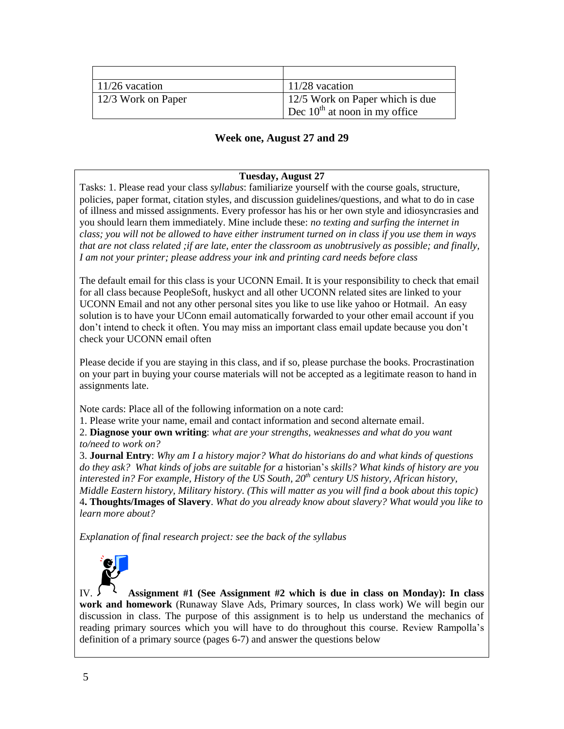| $\vert$ 11/26 vacation | $11/28$ vacation                   |
|------------------------|------------------------------------|
| 12/3 Work on Paper     | 12/5 Work on Paper which is due    |
|                        | Dec $10^{th}$ at noon in my office |

# **Week one, August 27 and 29**

## **Tuesday, August 27**

Tasks: 1. Please read your class *syllabus*: familiarize yourself with the course goals, structure, policies, paper format, citation styles, and discussion guidelines/questions, and what to do in case of illness and missed assignments. Every professor has his or her own style and idiosyncrasies and you should learn them immediately. Mine include these: *no texting and surfing the internet in class; you will not be allowed to have either instrument turned on in class if you use them in ways that are not class related ;if are late, enter the classroom as unobtrusively as possible; and finally, I am not your printer; please address your ink and printing card needs before class* 

The default email for this class is your UCONN Email. It is your responsibility to check that email for all class because PeopleSoft, huskyct and all other UCONN related sites are linked to your UCONN Email and not any other personal sites you like to use like yahoo or Hotmail. An easy solution is to have your UConn email automatically forwarded to your other email account if you don't intend to check it often. You may miss an important class email update because you don't check your UCONN email often

Please decide if you are staying in this class, and if so, please purchase the books. Procrastination on your part in buying your course materials will not be accepted as a legitimate reason to hand in assignments late.

Note cards: Place all of the following information on a note card:

1. Please write your name, email and contact information and second alternate email.

2. **Diagnose your own writing**: *what are your strengths, weaknesses and what do you want to/need to work on?*

3. **Journal Entry**: *Why am I a history major? What do historians do and what kinds of questions do they ask? What kinds of jobs are suitable for a* historian's *skills? What kinds of history are you interested in? For example, History of the US South, 20th century US history, African history, Middle Eastern history, Military history. (This will matter as you will find a book about this topic)* 4**. Thoughts/Images of Slavery**. *What do you already know about slavery? What would you like to learn more about?*

*Explanation of final research project: see the back of the syllabus*



IV. **Assignment #1 (See Assignment #2 which is due in class on Monday): In class work and homework** (Runaway Slave Ads, Primary sources, In class work) We will begin our discussion in class. The purpose of this assignment is to help us understand the mechanics of reading primary sources which you will have to do throughout this course. Review Rampolla's definition of a primary source (pages 6-7) and answer the questions below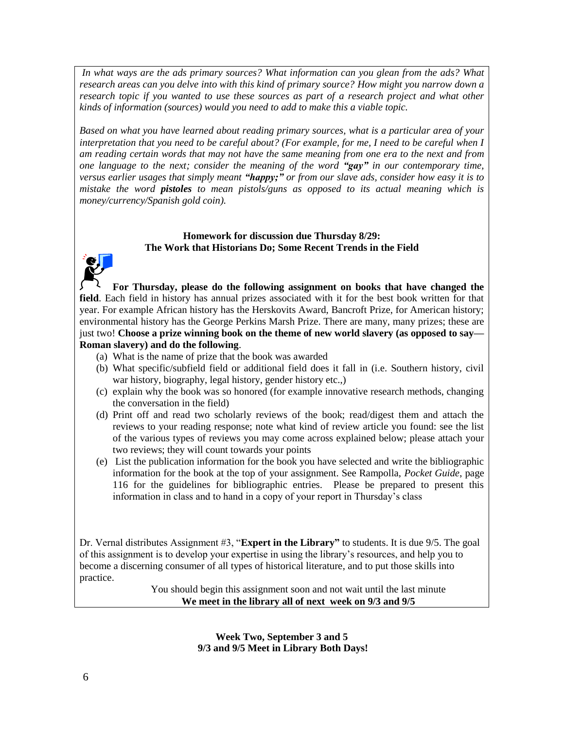*In what ways are the ads primary sources? What information can you glean from the ads? What research areas can you delve into with this kind of primary source? How might you narrow down a research topic if you wanted to use these sources as part of a research project and what other kinds of information (sources) would you need to add to make this a viable topic.*

*Based on what you have learned about reading primary sources, what is a particular area of your interpretation that you need to be careful about? (For example, for me, I need to be careful when I am reading certain words that may not have the same meaning from one era to the next and from one language to the next; consider the meaning of the word "gay" in our contemporary time, versus earlier usages that simply meant "happy;" or from our slave ads, consider how easy it is to mistake the word pistoles to mean pistols/guns as opposed to its actual meaning which is money/currency/Spanish gold coin).*

## **Homework for discussion due Thursday 8/29: The Work that Historians Do; Some Recent Trends in the Field**



**For Thursday, please do the following assignment on books that have changed the field**. Each field in history has annual prizes associated with it for the best book written for that year. For example African history has the Herskovits Award, Bancroft Prize, for American history; environmental history has the George Perkins Marsh Prize. There are many, many prizes; these are just two! **Choose a prize winning book on the theme of new world slavery (as opposed to say— Roman slavery) and do the following**.

- (a) What is the name of prize that the book was awarded
- (b) What specific/subfield field or additional field does it fall in (i.e. Southern history, civil war history, biography, legal history, gender history etc.,)
- (c) explain why the book was so honored (for example innovative research methods, changing the conversation in the field)
- (d) Print off and read two scholarly reviews of the book; read/digest them and attach the reviews to your reading response; note what kind of review article you found: see the list of the various types of reviews you may come across explained below; please attach your two reviews; they will count towards your points
- (e) List the publication information for the book you have selected and write the bibliographic information for the book at the top of your assignment. See Rampolla, *Pocket Guide*, page 116 for the guidelines for bibliographic entries. Please be prepared to present this information in class and to hand in a copy of your report in Thursday's class

Dr. Vernal distributes Assignment #3, "**Expert in the Library"** to students. It is due 9/5. The goal of this assignment is to develop your expertise in using the library's resources, and help you to become a discerning consumer of all types of historical literature, and to put those skills into practice.

You should begin this assignment soon and not wait until the last minute **We meet in the library all of next week on 9/3 and 9/5**

> **Week Two, September 3 and 5 9/3 and 9/5 Meet in Library Both Days!**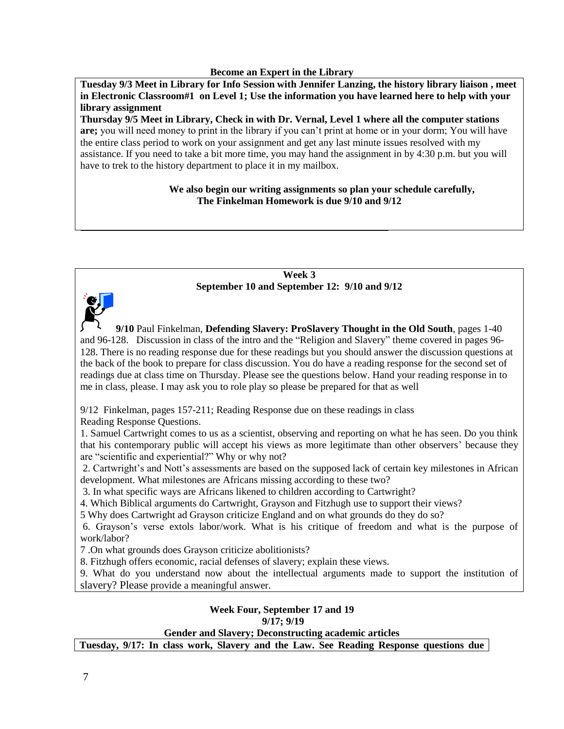#### **Become an Expert in the Library**

**Tuesday 9/3 Meet in Library for Info Session with Jennifer Lanzing, the history library liaison , meet in Electronic Classroom#1 on Level 1; Use the information you have learned here to help with your library assignment**

**Thursday 9/5 Meet in Library, Check in with Dr. Vernal, Level 1 where all the computer stations are;** you will need money to print in the library if you can't print at home or in your dorm; You will have the entire class period to work on your assignment and get any last minute issues resolved with my assistance. If you need to take a bit more time, you may hand the assignment in by 4:30 p.m. but you will have to trek to the history department to place it in my mailbox.

## **We also begin our writing assignments so plan your schedule carefully, The Finkelman Homework is due 9/10 and 9/12**

#### **Week 3 September 10 and September 12: 9/10 and 9/12**



**9/10** Paul Finkelman, **Defending Slavery: ProSlavery Thought in the Old South**, pages 1-40 and 96-128. Discussion in class of the intro and the "Religion and Slavery" theme covered in pages 96- 128. There is no reading response due for these readings but you should answer the discussion questions at the back of the book to prepare for class discussion. You do have a reading response for the second set of readings due at class time on Thursday. Please see the questions below. Hand your reading response in to me in class, please. I may ask you to role play so please be prepared for that as well

9/12 Finkelman, pages 157-211; Reading Response due on these readings in class

Reading Response Questions.

1. Samuel Cartwright comes to us as a scientist, observing and reporting on what he has seen. Do you think that his contemporary public will accept his views as more legitimate than other observers' because they are "scientific and experiential?" Why or why not?

2. Cartwright's and Nott's assessments are based on the supposed lack of certain key milestones in African development. What milestones are Africans missing according to these two?

3. In what specific ways are Africans likened to children according to Cartwright?

4. Which Biblical arguments do Cartwright, Grayson and Fitzhugh use to support their views?

5 Why does Cartwright ad Grayson criticize England and on what grounds do they do so?

6. Grayson's verse extols labor/work. What is his critique of freedom and what is the purpose of work/labor?

7 .On what grounds does Grayson criticize abolitionists?

8. Fitzhugh offers economic, racial defenses of slavery; explain these views.

9. What do you understand now about the intellectual arguments made to support the institution of slavery? Please provide a meaningful answer.

#### **Week Four, September 17 and 19 9/17; 9/19**

**Gender and Slavery; Deconstructing academic articles**

**Tuesday, 9/17: In class work, Slavery and the Law. See Reading Response questions due**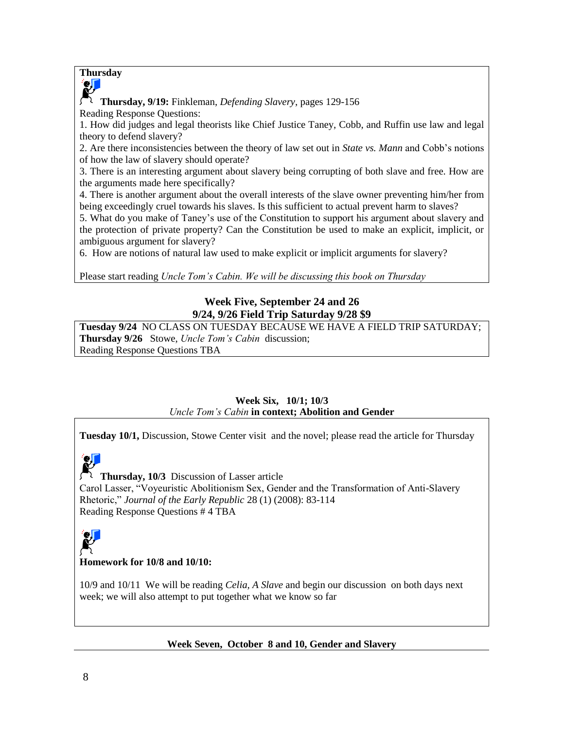## **Thursday**



**Thursday, 9/19:** Finkleman, *Defending Slavery*, pages 129-156 Reading Response Questions:

1. How did judges and legal theorists like Chief Justice Taney, Cobb, and Ruffin use law and legal theory to defend slavery?

2. Are there inconsistencies between the theory of law set out in *State vs. Mann* and Cobb's notions of how the law of slavery should operate?

3. There is an interesting argument about slavery being corrupting of both slave and free. How are the arguments made here specifically?

4. There is another argument about the overall interests of the slave owner preventing him/her from being exceedingly cruel towards his slaves. Is this sufficient to actual prevent harm to slaves?

5. What do you make of Taney's use of the Constitution to support his argument about slavery and the protection of private property? Can the Constitution be used to make an explicit, implicit, or ambiguous argument for slavery?

6. How are notions of natural law used to make explicit or implicit arguments for slavery?

Please start reading *Uncle Tom's Cabin. We will be discussing this book on Thursday*

# **Week Five, September 24 and 26 9/24, 9/26 Field Trip Saturday 9/28 \$9**

**Tuesday 9/24** NO CLASS ON TUESDAY BECAUSE WE HAVE A FIELD TRIP SATURDAY; **Thursday 9/26** Stowe, *Uncle Tom's Cabin* discussion; Reading Response Questions TBA

## **Week Six, 10/1; 10/3** *Uncle Tom's Cabin* **in context; Abolition and Gender**

**Tuesday 10/1,** Discussion, Stowe Center visit and the novel; please read the article for Thursday



**Thursday, 10/3** Discussion of Lasser article

Carol Lasser, "Voyeuristic Abolitionism Sex, Gender and the Transformation of Anti-Slavery Rhetoric," *Journal of the Early Republic* 28 (1) (2008): 83-114 Reading Response Questions # 4 TBA



## **Homework for 10/8 and 10/10:**

10/9 and 10/11 We will be reading *Celia, A Slave* and begin our discussion on both days next week; we will also attempt to put together what we know so far

## **Week Seven, October 8 and 10, Gender and Slavery**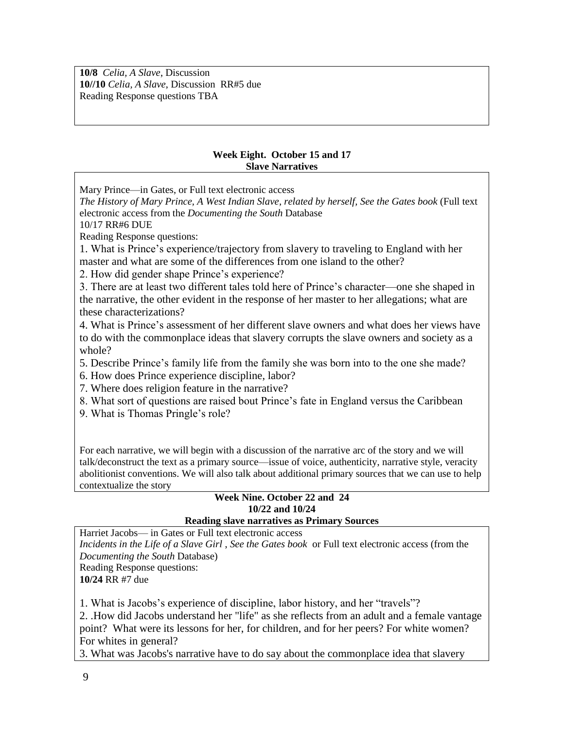**10/8** *Celia, A Slave*, Discussion **10//10** *Celia, A Slave*, Discussion RR#5 due Reading Response questions TBA

## **Week Eight. October 15 and 17 Slave Narratives**

Mary Prince—in Gates, or Full text electronic access

*The History of Mary Prince, A West Indian Slave, related by herself, See the Gates book* (Full text electronic access from the *Documenting the South* Database

10/17 RR#6 DUE

Reading Response questions:

1. What is Prince's experience/trajectory from slavery to traveling to England with her master and what are some of the differences from one island to the other?

2. How did gender shape Prince's experience?

3. There are at least two different tales told here of Prince's character—one she shaped in the narrative, the other evident in the response of her master to her allegations; what are these characterizations?

4. What is Prince's assessment of her different slave owners and what does her views have to do with the commonplace ideas that slavery corrupts the slave owners and society as a whole?

5. Describe Prince's family life from the family she was born into to the one she made?

6. How does Prince experience discipline, labor?

7. Where does religion feature in the narrative?

8. What sort of questions are raised bout Prince's fate in England versus the Caribbean

9. What is Thomas Pringle's role?

For each narrative, we will begin with a discussion of the narrative arc of the story and we will talk/deconstruct the text as a primary source—issue of voice, authenticity, narrative style, veracity abolitionist conventions. We will also talk about additional primary sources that we can use to help contextualize the story

#### **Week Nine. October 22 and 24 10/22 and 10/24 Reading slave narratives as Primary Sources**

Harriet Jacobs— in Gates or Full text electronic access *Incidents in the Life of a Slave Girl* , *See the Gates book* or Full text electronic access (from the *Documenting the South* Database) Reading Response questions: **10/24** RR #7 due

1. What is Jacobs's experience of discipline, labor history, and her "travels"?

2. .How did Jacobs understand her "life" as she reflects from an adult and a female vantage point? What were its lessons for her, for children, and for her peers? For white women? For whites in general?

3. What was Jacobs's narrative have to do say about the commonplace idea that slavery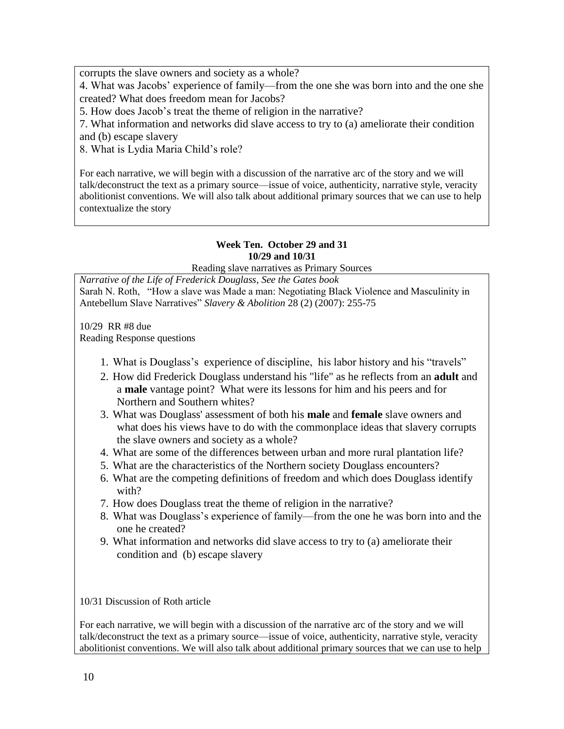corrupts the slave owners and society as a whole?

4. What was Jacobs' experience of family—from the one she was born into and the one she created? What does freedom mean for Jacobs?

5. How does Jacob's treat the theme of religion in the narrative?

7. What information and networks did slave access to try to (a) ameliorate their condition and (b) escape slavery

8. What is Lydia Maria Child's role?

For each narrative, we will begin with a discussion of the narrative arc of the story and we will talk/deconstruct the text as a primary source—issue of voice, authenticity, narrative style, veracity abolitionist conventions. We will also talk about additional primary sources that we can use to help contextualize the story

# **Week Ten. October 29 and 31 10/29 and 10/31**

Reading slave narratives as Primary Sources

*Narrative of the Life of Frederick Douglass, See the Gates book* Sarah N. Roth, "How a slave was Made a man: Negotiating Black Violence and Masculinity in Antebellum Slave Narratives" *Slavery & Abolition* 28 (2) (2007): 255-75

10/29 RR #8 due Reading Response questions

- 1. What is Douglass's experience of discipline, his labor history and his "travels"
- 2. How did Frederick Douglass understand his "life" as he reflects from an **adult** and a **male** vantage point? What were its lessons for him and his peers and for Northern and Southern whites?
- 3. What was Douglass' assessment of both his **male** and **female** slave owners and what does his views have to do with the commonplace ideas that slavery corrupts the slave owners and society as a whole?
- 4. What are some of the differences between urban and more rural plantation life?
- 5. What are the characteristics of the Northern society Douglass encounters?
- 6. What are the competing definitions of freedom and which does Douglass identify with?
- 7. How does Douglass treat the theme of religion in the narrative?
- 8. What was Douglass's experience of family—from the one he was born into and the one he created?
- 9. What information and networks did slave access to try to (a) ameliorate their condition and (b) escape slavery

10/31 Discussion of Roth article

For each narrative, we will begin with a discussion of the narrative arc of the story and we will talk/deconstruct the text as a primary source—issue of voice, authenticity, narrative style, veracity abolitionist conventions. We will also talk about additional primary sources that we can use to help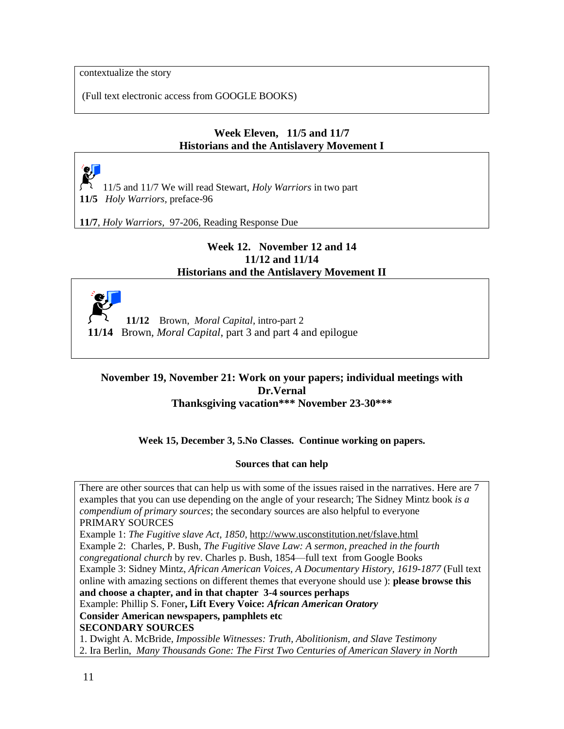contextualize the story

(Full text electronic access from GOOGLE BOOKS)

# **Week Eleven, 11/5 and 11/7 Historians and the Antislavery Movement I**

<u>e L</u> 11/5 and 11/7 We will read Stewart, *Holy Warriors* in two part **11/5** *Holy Warriors,* preface-96

**11/7**, *Holy Warriors,* 97-206, Reading Response Due

## **Week 12. November 12 and 14 11/12 and 11/14 Historians and the Antislavery Movement II**



 **11/12** Brown, *Moral Capital*, intro-part 2 **11/14** Brown*, Moral Capital*, part 3 and part 4 and epilogue

## **November 19, November 21: Work on your papers; individual meetings with Dr.Vernal Thanksgiving vacation\*\*\* November 23-30\*\*\***

**Week 15, December 3, 5.No Classes. Continue working on papers.** 

#### **Sources that can help**

There are other sources that can help us with some of the issues raised in the narratives. Here are 7 examples that you can use depending on the angle of your research; The Sidney Mintz book *is a compendium of primary sources*; the secondary sources are also helpful to everyone PRIMARY SOURCES Example 1: *The Fugitive slave Act, 1850*,<http://www.usconstitution.net/fslave.html> Example 2: Charles, P. Bush, *The Fugitive Slave Law: A sermon, preached in the fourth congregational church* by rev. Charles p. Bush, 1854—full text from Google Books Example 3: Sidney Mintz, *African American Voices, A Documentary History, 1619-1877* (Full text online with amazing sections on different themes that everyone should use ): **please browse this and choose a chapter, and in that chapter 3-4 sources perhaps** Example: Phillip S. Foner**, Lift Every Voice:** *African American Oratory* **Consider American newspapers, pamphlets etc SECONDARY SOURCES** 1. Dwight A. McBride, *Impossible Witnesses: Truth, Abolitionism, and Slave Testimony*